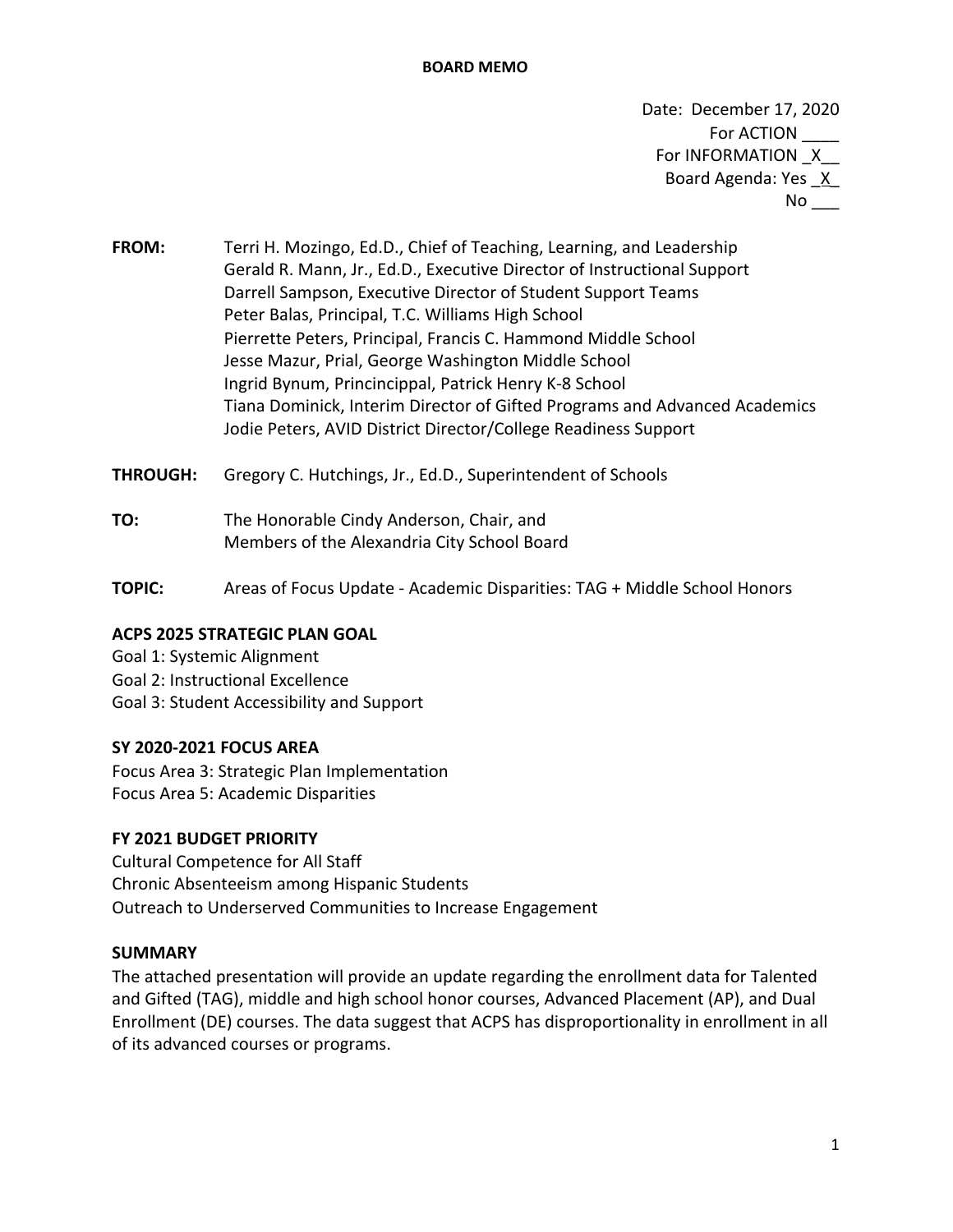### **BOARD MEMO**

Date: December 17, 2020 For ACTION For INFORMATION X Board Agenda: Yes X  $No$ <sub>---</sub>

- **FROM:** Terri H. Mozingo, Ed.D., Chief of Teaching, Learning, and Leadership Gerald R. Mann, Jr., Ed.D., Executive Director of Instructional Support Darrell Sampson, Executive Director of Student Support Teams Peter Balas, Principal, T.C. Williams High School Pierrette Peters, Principal, Francis C. Hammond Middle School Jesse Mazur, Prial, George Washington Middle School Ingrid Bynum, Princincippal, Patrick Henry K-8 School Tiana Dominick, Interim Director of Gifted Programs and Advanced Academics Jodie Peters, AVID District Director/College Readiness Support
- **THROUGH:** Gregory C. Hutchings, Jr., Ed.D., Superintendent of Schools
- **TO:** The Honorable Cindy Anderson, Chair, and Members of the Alexandria City School Board
- **TOPIC:** Areas of Focus Update Academic Disparities: TAG + Middle School Honors

## **ACPS 2025 STRATEGIC PLAN GOAL**

Goal 1: Systemic Alignment Goal 2: Instructional Excellence Goal 3: Student Accessibility and Support

## **SY 2020-2021 FOCUS AREA**

Focus Area 3: Strategic Plan Implementation Focus Area 5: Academic Disparities

## **FY 2021 BUDGET PRIORITY**

Cultural Competence for All Staff Chronic Absenteeism among Hispanic Students Outreach to Underserved Communities to Increase Engagement

### **SUMMARY**

The attached presentation will provide an update regarding the enrollment data for Talented and Gifted (TAG), middle and high school honor courses, Advanced Placement (AP), and Dual Enrollment (DE) courses. The data suggest that ACPS has disproportionality in enrollment in all of its advanced courses or programs.